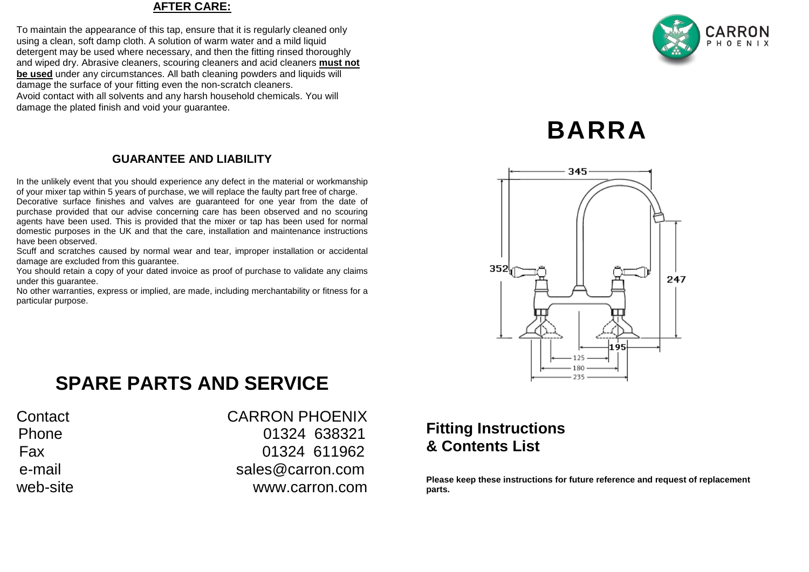### **AFTER CARE:**

To maintain the appearance of this tap, ensure that it is regularly cleaned only using a clean, soft damp cloth. A solution of warm water and a mild liquid detergent may be used where necessary, and then the fitting rinsed thoroughly and wiped dry. Abrasive cleaners, scouring cleaners and acid cleaners **must not be used** under any circumstances. All bath cleaning powders and liquids will damage the surface of your fitting even the non-scratch cleaners. Avoid contact with all solvents and any harsh household chemicals. You will damage the plated finish and void vour quarantee.

### **GUARANTEE AND LIABILITY**

In the unlikely event that you should experience any defect in the material or workmanship of your mixer tap within 5 years of purchase, we will replace the faulty part free of charge.

Decorative surface finishes and valves are guaranteed for one year from the date of purchase provided that our advise concerning care has been observed and no scouring agents have been used. This is provided that the mixer or tap has been used for normal domestic purposes in the UK and that the care, installation and maintenance instructions have been observed.

Scuff and scratches caused by normal wear and tear, improper installation or accidental damage are excluded from this guarantee.

You should retain a copy of your dated invoice as proof of purchase to validate any claims under this guarantee.

No other warranties, express or implied, are made, including merchantability or fitness for a particular purpose.

# CARRON PHOFNIX

# **BARRA**



## **SPARE PARTS AND SERVICE**

| Contact  |
|----------|
| Phone    |
| Fax      |
| e-mail   |
| web-site |

**CARRON PHOENIX** 01324 638321 01324 611962 sales@carron.com www.carron.com

### **Fitting Instructions & Contents List**

**Please keep these instructions for future reference and request of replacement parts.**